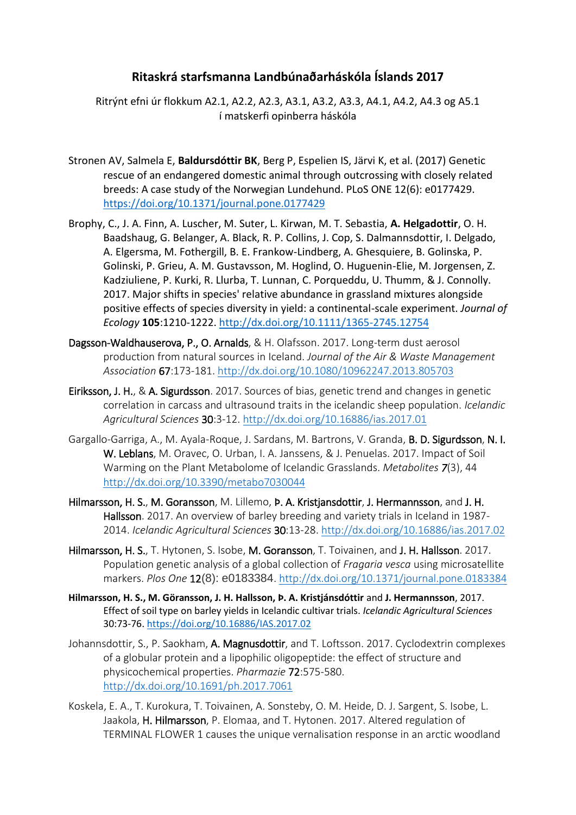## **Ritaskrá starfsmanna Landbúnaðarháskóla Íslands 2017**

Ritrýnt efni úr flokkum A2.1, A2.2, A2.3, A3.1, A3.2, A3.3, A4.1, A4.2, A4.3 og A5.1 í matskerfi opinberra háskóla

- Stronen AV, Salmela E, **Baldursdóttir BK**, Berg P, Espelien IS, Järvi K, et al. (2017) Genetic rescue of an endangered domestic animal through outcrossing with closely related breeds: A case study of the Norwegian Lundehund. PLoS ONE 12(6): e0177429. <https://doi.org/10.1371/journal.pone.0177429>
- Brophy, C., J. A. Finn, A. Luscher, M. Suter, L. Kirwan, M. T. Sebastia, **A. Helgadottir**, O. H. Baadshaug, G. Belanger, A. Black, R. P. Collins, J. Cop, S. Dalmannsdottir, I. Delgado, A. Elgersma, M. Fothergill, B. E. Frankow-Lindberg, A. Ghesquiere, B. Golinska, P. Golinski, P. Grieu, A. M. Gustavsson, M. Hoglind, O. Huguenin-Elie, M. Jorgensen, Z. Kadziuliene, P. Kurki, R. Llurba, T. Lunnan, C. Porqueddu, U. Thumm, & J. Connolly. 2017. Major shifts in species' relative abundance in grassland mixtures alongside positive effects of species diversity in yield: a continental-scale experiment. *Journal of Ecology* **105**:1210-1222.<http://dx.doi.org/10.1111/1365-2745.12754>
- Dagsson-Waldhauserova, P., O. Arnalds, & H. Olafsson. 2017. Long-term dust aerosol production from natural sources in Iceland. *Journal of the Air & Waste Management Association* 67:173-181.<http://dx.doi.org/10.1080/10962247.2013.805703>
- Eiriksson, J. H., & A. Sigurdsson. 2017. Sources of bias, genetic trend and changes in genetic correlation in carcass and ultrasound traits in the icelandic sheep population. *Icelandic Agricultural Sciences* 30:3-12.<http://dx.doi.org/10.16886/ias.2017.01>
- Gargallo-Garriga, A., M. Ayala-Roque, J. Sardans, M. Bartrons, V. Granda, B. D. Sigurdsson, N. I. W. Leblans, M. Oravec, O. Urban, I. A. Janssens, & J. Penuelas. 2017. Impact of Soil Warming on the Plant Metabolome of Icelandic Grasslands. *Metabolites 7*(3), 44 <http://dx.doi.org/10.3390/metabo7030044>
- Hilmarsson, H. S., M. Goransson, M. Lillemo, P. A. Kristjansdottir, J. Hermannsson, and J. H. Hallsson. 2017. An overview of barley breeding and variety trials in Iceland in 1987-2014. *Icelandic Agricultural Sciences* 30:13-28.<http://dx.doi.org/10.16886/ias.2017.02>
- Hilmarsson, H. S., T. Hytonen, S. Isobe, M. Goransson, T. Toivainen, and J. H. Hallsson. 2017. Population genetic analysis of a global collection of *Fragaria vesca* using microsatellite markers. *Plos One* 12(8): e0183384.<http://dx.doi.org/10.1371/journal.pone.0183384>
- **Hilmarsson, H. S., M. Göransson, J. H. Hallsson, Þ. A. Kristjánsdóttir** and **J. Hermannsson**, 2017. Effect of soil type on barley yields in Icelandic cultivar trials. *Icelandic Agricultural Sciences* 30:73-76.<https://doi.org/10.16886/IAS.2017.02>
- Johannsdottir, S., P. Saokham, A. Magnusdottir, and T. Loftsson. 2017. Cyclodextrin complexes of a globular protein and a lipophilic oligopeptide: the effect of structure and physicochemical properties. *Pharmazie* 72:575-580. <http://dx.doi.org/10.1691/ph.2017.7061>
- Koskela, E. A., T. Kurokura, T. Toivainen, A. Sonsteby, O. M. Heide, D. J. Sargent, S. Isobe, L. Jaakola, H. Hilmarsson, P. Elomaa, and T. Hytonen. 2017. Altered regulation of TERMINAL FLOWER 1 causes the unique vernalisation response in an arctic woodland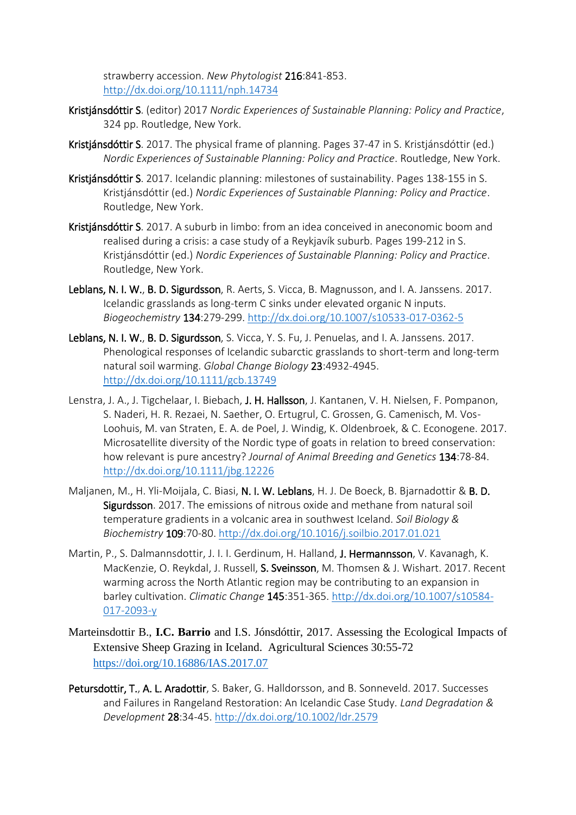strawberry accession. *New Phytologist* 216:841-853. <http://dx.doi.org/10.1111/nph.14734>

- Kristjánsdóttir S. (editor) 2017 *Nordic Experiences of Sustainable Planning: Policy and Practice*, 324 pp. Routledge, New York.
- Kristjánsdóttir S. 2017. The physical frame of planning. Pages 37-47 in S. Kristjánsdóttir (ed.) *Nordic Experiences of Sustainable Planning: Policy and Practice*. Routledge, New York.
- Kristiánsdóttir S. 2017. Icelandic planning: milestones of sustainability. Pages 138-155 in S. Kristjánsdóttir (ed.) *Nordic Experiences of Sustainable Planning: Policy and Practice*. Routledge, New York.
- Kristjánsdóttir S. 2017. A suburb in limbo: from an idea conceived in aneconomic boom and realised during a crisis: a case study of a Reykjavík suburb. Pages 199-212 in S. Kristjánsdóttir (ed.) *Nordic Experiences of Sustainable Planning: Policy and Practice*. Routledge, New York.
- Leblans, N. I. W., B. D. Sigurdsson, R. Aerts, S. Vicca, B. Magnusson, and I. A. Janssens. 2017. Icelandic grasslands as long-term C sinks under elevated organic N inputs. *Biogeochemistry* 134:279-299.<http://dx.doi.org/10.1007/s10533-017-0362-5>
- Leblans, N. I. W., B. D. Sigurdsson, S. Vicca, Y. S. Fu, J. Penuelas, and I. A. Janssens. 2017. Phenological responses of Icelandic subarctic grasslands to short-term and long-term natural soil warming. *Global Change Biology* 23:4932-4945. <http://dx.doi.org/10.1111/gcb.13749>
- Lenstra, J. A., J. Tigchelaar, I. Biebach, J. H. Hallsson, J. Kantanen, V. H. Nielsen, F. Pompanon, S. Naderi, H. R. Rezaei, N. Saether, O. Ertugrul, C. Grossen, G. Camenisch, M. Vos-Loohuis, M. van Straten, E. A. de Poel, J. Windig, K. Oldenbroek, & C. Econogene. 2017. Microsatellite diversity of the Nordic type of goats in relation to breed conservation: how relevant is pure ancestry? *Journal of Animal Breeding and Genetics* 134:78-84. <http://dx.doi.org/10.1111/jbg.12226>
- Maljanen, M., H. Yli-Moijala, C. Biasi, N. I. W. Leblans, H. J. De Boeck, B. Bjarnadottir & B. D. Sigurdsson. 2017. The emissions of nitrous oxide and methane from natural soil temperature gradients in a volcanic area in southwest Iceland. *Soil Biology & Biochemistry* 109:70-80.<http://dx.doi.org/10.1016/j.soilbio.2017.01.021>
- Martin, P., S. Dalmannsdottir, J. I. I. Gerdinum, H. Halland, J. Hermannsson, V. Kavanagh, K. MacKenzie, O. Reykdal, J. Russell, S. Sveinsson, M. Thomsen & J. Wishart. 2017. Recent warming across the North Atlantic region may be contributing to an expansion in barley cultivation. *Climatic Change* 145:351-365. [http://dx.doi.org/10.1007/s10584-](http://dx.doi.org/10.1007/s10584-017-2093-y) [017-2093-y](http://dx.doi.org/10.1007/s10584-017-2093-y)
- Marteinsdottir B., **I.C. Barrio** and I.S. Jónsdóttir, 2017. Assessing the Ecological Impacts of Extensive Sheep Grazing in Iceland. Agricultural Sciences 30:55-72 https://doi.org/10.16886/IAS.2017.07
- Petursdottir, T., A. L. Aradottir, S. Baker, G. Halldorsson, and B. Sonneveld. 2017. Successes and Failures in Rangeland Restoration: An Icelandic Case Study. *Land Degradation & Development* 28:34-45.<http://dx.doi.org/10.1002/ldr.2579>